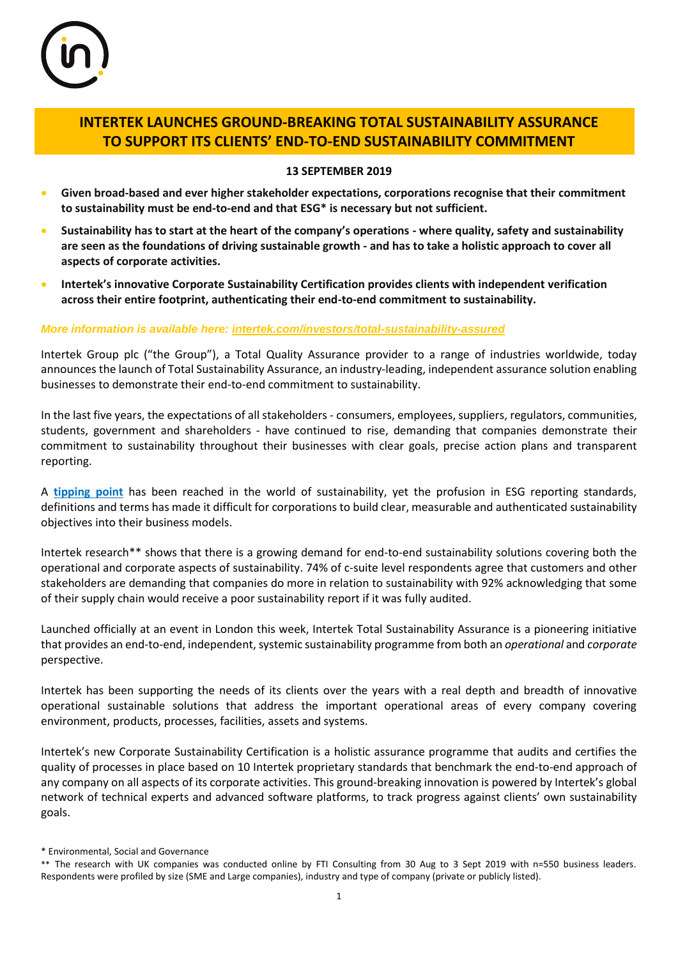

# **INTERTEK LAUNCHES GROUND-BREAKING TOTAL SUSTAINABILITY ASSURANCE TO SUPPORT ITS CLIENTS' END-TO-END SUSTAINABILITY COMMITMENT**

# **13 SEPTEMBER 2019**

- **Given broad-based and ever higher stakeholder expectations, corporations recognise that their commitment to sustainability must be end-to-end and that ESG\* is necessary but not sufficient.**
- **Sustainability has to start at the heart of the company's operations - where quality, safety and sustainability are seen as the foundations of driving sustainable growth - and has to take a holistic approach to cover all aspects of corporate activities.**
- **Intertek's innovative Corporate Sustainability Certification provides clients with independent verification across their entire footprint, authenticating their end-to-end commitment to sustainability.**

### *More information is available here: [intertek.com/investors/total-sustainability-assured](https://www.intertek.com/investors/total-sustainability-assured/)*

Intertek Group plc ("the Group"), a Total Quality Assurance provider to a range of industries worldwide, today announces the launch of Total Sustainability Assurance, an industry-leading, independent assurance solution enabling businesses to demonstrate their end-to-end commitment to sustainability.

In the last five years, the expectations of all stakeholders - consumers, employees, suppliers, regulators, communities, students, government and shareholders - have continued to rise, demanding that companies demonstrate their commitment to sustainability throughout their businesses with clear goals, precise action plans and transparent reporting.

A **[tipping point](https://www.intertek.com/investors/the-tipping-point-video/)** has been reached in the world of sustainability, yet the profusion in ESG reporting standards, definitions and terms has made it difficult for corporations to build clear, measurable and authenticated sustainability objectives into their business models.

Intertek research\*\* shows that there is a growing demand for end-to-end sustainability solutions covering both the operational and corporate aspects of sustainability. 74% of c-suite level respondents agree that customers and other stakeholders are demanding that companies do more in relation to sustainability with 92% acknowledging that some of their supply chain would receive a poor sustainability report if it was fully audited.

Launched officially at an event in London this week, Intertek Total Sustainability Assurance is a pioneering initiative that provides an end-to-end, independent, systemic sustainability programme from both an *operational* and *corporate* perspective.

Intertek has been supporting the needs of its clients over the years with a real depth and breadth of innovative operational sustainable solutions that address the important operational areas of every company covering environment, products, processes, facilities, assets and systems.

Intertek's new Corporate Sustainability Certification is a holistic assurance programme that audits and certifies the quality of processes in place based on 10 Intertek proprietary standards that benchmark the end-to-end approach of any company on all aspects of its corporate activities. This ground-breaking innovation is powered by Intertek's global network of technical experts and advanced software platforms, to track progress against clients' own sustainability goals.

<sup>\*</sup> Environmental, Social and Governance

<sup>\*\*</sup> The research with UK companies was conducted online by FTI Consulting from 30 Aug to 3 Sept 2019 with n=550 business leaders. Respondents were profiled by size (SME and Large companies), industry and type of company (private or publicly listed).